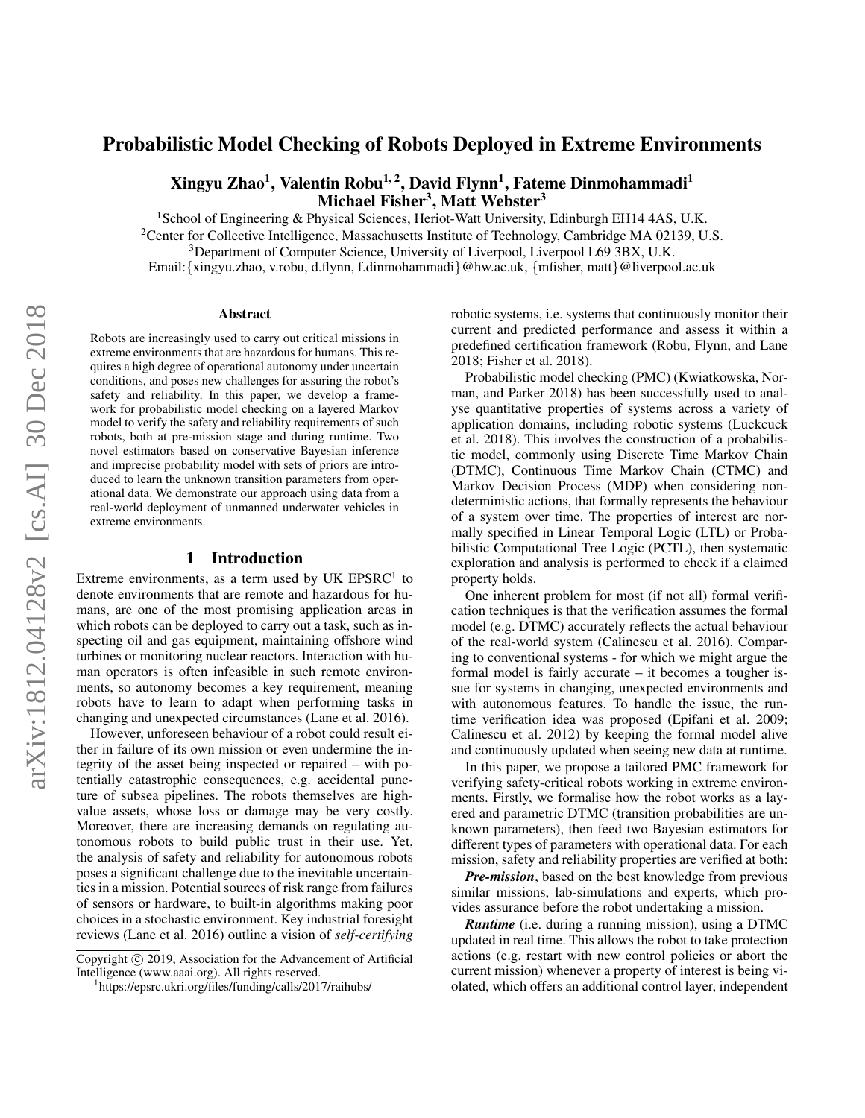# Probabilistic Model Checking of Robots Deployed in Extreme Environments

Xingyu Zhao<sup>1</sup>, Valentin Robu<sup>1, 2</sup>, David Flynn<sup>1</sup>, Fateme Dinmohammadi<sup>1</sup> Michael Fisher<sup>3</sup>, Matt Webster<sup>3</sup>

<sup>1</sup>School of Engineering & Physical Sciences, Heriot-Watt University, Edinburgh EH14 4AS, U.K.

<sup>2</sup>Center for Collective Intelligence, Massachusetts Institute of Technology, Cambridge MA 02139, U.S.

<sup>3</sup>Department of Computer Science, University of Liverpool, Liverpool L69 3BX, U.K.

Email:{xingyu.zhao, v.robu, d.flynn, f.dinmohammadi}@hw.ac.uk, {mfisher, matt}@liverpool.ac.uk

#### Abstract

Robots are increasingly used to carry out critical missions in extreme environments that are hazardous for humans. This requires a high degree of operational autonomy under uncertain conditions, and poses new challenges for assuring the robot's safety and reliability. In this paper, we develop a framework for probabilistic model checking on a layered Markov model to verify the safety and reliability requirements of such robots, both at pre-mission stage and during runtime. Two novel estimators based on conservative Bayesian inference and imprecise probability model with sets of priors are introduced to learn the unknown transition parameters from operational data. We demonstrate our approach using data from a real-world deployment of unmanned underwater vehicles in extreme environments.

### 1 Introduction

Extreme environments, as a term used by UK EPSRC<sup>1</sup> to denote environments that are remote and hazardous for humans, are one of the most promising application areas in which robots can be deployed to carry out a task, such as inspecting oil and gas equipment, maintaining offshore wind turbines or monitoring nuclear reactors. Interaction with human operators is often infeasible in such remote environments, so autonomy becomes a key requirement, meaning robots have to learn to adapt when performing tasks in changing and unexpected circumstances (Lane et al. 2016).

However, unforeseen behaviour of a robot could result either in failure of its own mission or even undermine the integrity of the asset being inspected or repaired – with potentially catastrophic consequences, e.g. accidental puncture of subsea pipelines. The robots themselves are highvalue assets, whose loss or damage may be very costly. Moreover, there are increasing demands on regulating autonomous robots to build public trust in their use. Yet, the analysis of safety and reliability for autonomous robots poses a significant challenge due to the inevitable uncertainties in a mission. Potential sources of risk range from failures of sensors or hardware, to built-in algorithms making poor choices in a stochastic environment. Key industrial foresight reviews (Lane et al. 2016) outline a vision of *self-certifying* robotic systems, i.e. systems that continuously monitor their current and predicted performance and assess it within a predefined certification framework (Robu, Flynn, and Lane 2018; Fisher et al. 2018).

Probabilistic model checking (PMC) (Kwiatkowska, Norman, and Parker 2018) has been successfully used to analyse quantitative properties of systems across a variety of application domains, including robotic systems (Luckcuck et al. 2018). This involves the construction of a probabilistic model, commonly using Discrete Time Markov Chain (DTMC), Continuous Time Markov Chain (CTMC) and Markov Decision Process (MDP) when considering nondeterministic actions, that formally represents the behaviour of a system over time. The properties of interest are normally specified in Linear Temporal Logic (LTL) or Probabilistic Computational Tree Logic (PCTL), then systematic exploration and analysis is performed to check if a claimed property holds.

One inherent problem for most (if not all) formal verification techniques is that the verification assumes the formal model (e.g. DTMC) accurately reflects the actual behaviour of the real-world system (Calinescu et al. 2016). Comparing to conventional systems - for which we might argue the formal model is fairly accurate – it becomes a tougher issue for systems in changing, unexpected environments and with autonomous features. To handle the issue, the runtime verification idea was proposed (Epifani et al. 2009; Calinescu et al. 2012) by keeping the formal model alive and continuously updated when seeing new data at runtime.

In this paper, we propose a tailored PMC framework for verifying safety-critical robots working in extreme environments. Firstly, we formalise how the robot works as a layered and parametric DTMC (transition probabilities are unknown parameters), then feed two Bayesian estimators for different types of parameters with operational data. For each mission, safety and reliability properties are verified at both:

*Pre-mission*, based on the best knowledge from previous similar missions, lab-simulations and experts, which provides assurance before the robot undertaking a mission.

*Runtime* (i.e. during a running mission), using a DTMC updated in real time. This allows the robot to take protection actions (e.g. restart with new control policies or abort the current mission) whenever a property of interest is being violated, which offers an additional control layer, independent

Copyright  $\odot$  2019, Association for the Advancement of Artificial Intelligence (www.aaai.org). All rights reserved.

<sup>1</sup> https://epsrc.ukri.org/files/funding/calls/2017/raihubs/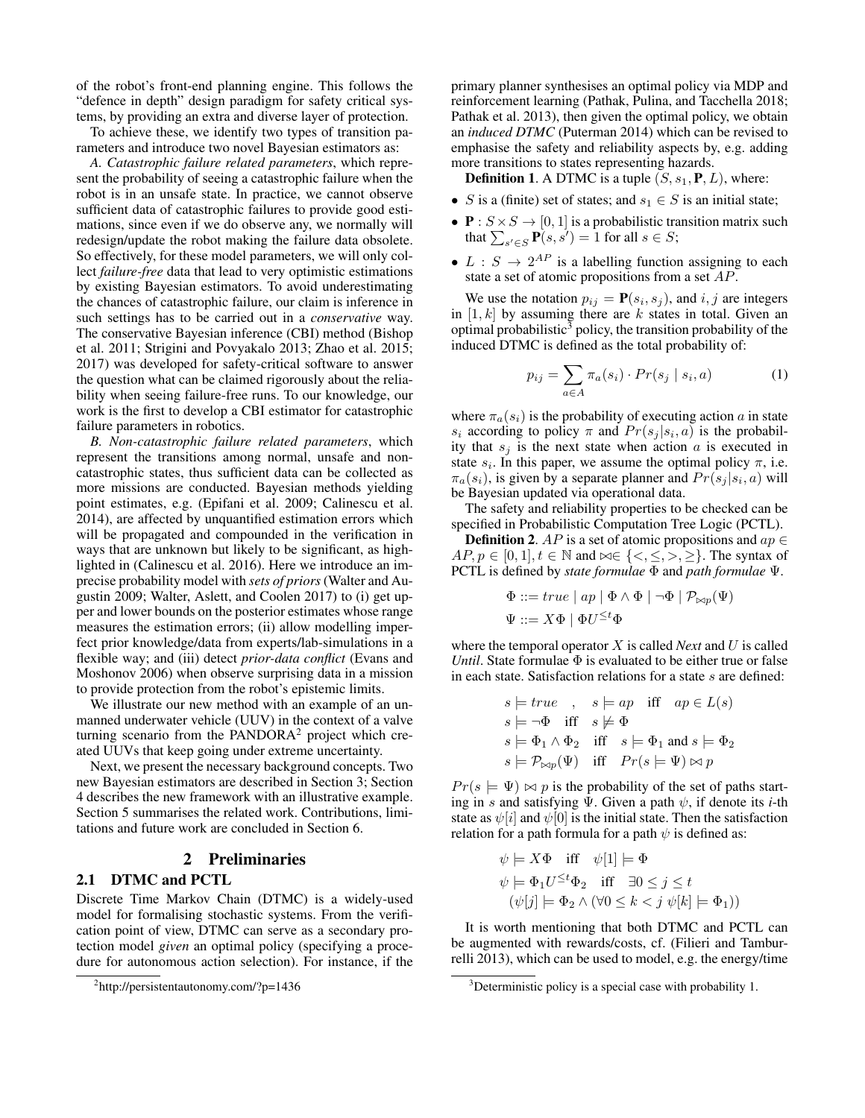of the robot's front-end planning engine. This follows the "defence in depth" design paradigm for safety critical systems, by providing an extra and diverse layer of protection.

To achieve these, we identify two types of transition parameters and introduce two novel Bayesian estimators as:

*A. Catastrophic failure related parameters*, which represent the probability of seeing a catastrophic failure when the robot is in an unsafe state. In practice, we cannot observe sufficient data of catastrophic failures to provide good estimations, since even if we do observe any, we normally will redesign/update the robot making the failure data obsolete. So effectively, for these model parameters, we will only collect *failure-free* data that lead to very optimistic estimations by existing Bayesian estimators. To avoid underestimating the chances of catastrophic failure, our claim is inference in such settings has to be carried out in a *conservative* way. The conservative Bayesian inference (CBI) method (Bishop et al. 2011; Strigini and Povyakalo 2013; Zhao et al. 2015; 2017) was developed for safety-critical software to answer the question what can be claimed rigorously about the reliability when seeing failure-free runs. To our knowledge, our work is the first to develop a CBI estimator for catastrophic failure parameters in robotics.

*B. Non-catastrophic failure related parameters*, which represent the transitions among normal, unsafe and noncatastrophic states, thus sufficient data can be collected as more missions are conducted. Bayesian methods yielding point estimates, e.g. (Epifani et al. 2009; Calinescu et al. 2014), are affected by unquantified estimation errors which will be propagated and compounded in the verification in ways that are unknown but likely to be significant, as highlighted in (Calinescu et al. 2016). Here we introduce an imprecise probability model with *sets of priors* (Walter and Augustin 2009; Walter, Aslett, and Coolen 2017) to (i) get upper and lower bounds on the posterior estimates whose range measures the estimation errors; (ii) allow modelling imperfect prior knowledge/data from experts/lab-simulations in a flexible way; and (iii) detect *prior-data conflict* (Evans and Moshonov 2006) when observe surprising data in a mission to provide protection from the robot's epistemic limits.

We illustrate our new method with an example of an unmanned underwater vehicle (UUV) in the context of a valve turning scenario from the  $PANDORA<sup>2</sup>$  project which created UUVs that keep going under extreme uncertainty.

Next, we present the necessary background concepts. Two new Bayesian estimators are described in Section 3; Section 4 describes the new framework with an illustrative example. Section 5 summarises the related work. Contributions, limitations and future work are concluded in Section 6.

## 2 Preliminaries

## 2.1 DTMC and PCTL

Discrete Time Markov Chain (DTMC) is a widely-used model for formalising stochastic systems. From the verification point of view, DTMC can serve as a secondary protection model *given* an optimal policy (specifying a procedure for autonomous action selection). For instance, if the primary planner synthesises an optimal policy via MDP and reinforcement learning (Pathak, Pulina, and Tacchella 2018; Pathak et al. 2013), then given the optimal policy, we obtain an *induced DTMC* (Puterman 2014) which can be revised to emphasise the safety and reliability aspects by, e.g. adding more transitions to states representing hazards.

**Definition 1.** A DTMC is a tuple  $(S, s_1, P, L)$ , where:

- S is a (finite) set of states; and  $s_1 \in S$  is an initial state;
- $P: S \times S \rightarrow [0, 1]$  is a probabilistic transition matrix such that  $\sum_{s' \in S} \mathbf{P}(s, s') = 1$  for all  $s \in S$ ;
- $L : S \rightarrow 2^{AP}$  is a labelling function assigning to each state a set of atomic propositions from a set AP.

We use the notation  $p_{ij} = \mathbf{P}(s_i, s_j)$ , and  $i, j$  are integers in  $[1, k]$  by assuming there are  $k$  states in total. Given an optimal probabilistic<sup>3</sup> policy, the transition probability of the induced DTMC is defined as the total probability of:

$$
p_{ij} = \sum_{a \in A} \pi_a(s_i) \cdot Pr(s_j \mid s_i, a) \tag{1}
$$

where  $\pi_a(s_i)$  is the probability of executing action a in state  $s_i$  according to policy  $\pi$  and  $Pr(s_j | s_i, a)$  is the probability that  $s_i$  is the next state when action a is executed in state  $s_i$ . In this paper, we assume the optimal policy  $\pi$ , i.e.  $\pi_a(s_i)$ , is given by a separate planner and  $Pr(s_j | s_i, a)$  will be Bayesian updated via operational data.

The safety and reliability properties to be checked can be specified in Probabilistic Computation Tree Logic (PCTL).

**Definition 2.** AP is a set of atomic propositions and  $ap \in$  $AP, p \in [0, 1], t \in \mathbb{N}$  and  $\bowtie \in \{ \lt, \leq, \gt, \leq \}$ . The syntax of PCTL is defined by *state formulae* Φ and *path formulae* Ψ.

$$
\Phi ::= true \mid ap \mid \Phi \land \Phi \mid \neg \Phi \mid \mathcal{P}_{\bowtie p}(\Psi)
$$

$$
\Psi ::= X\Phi \mid \Phi U^{\leq t} \Phi
$$

where the temporal operator X is called *Next* and U is called *Until*. State formulae Φ is evaluated to be either true or false in each state. Satisfaction relations for a state s are defined:

$$
s \models true, \quad s \models ap \quad \text{iff} \quad ap \in L(s)
$$
\n
$$
s \models \neg \Phi \quad \text{iff} \quad s \not\models \Phi
$$
\n
$$
s \models \Phi_1 \land \Phi_2 \quad \text{iff} \quad s \models \Phi_1 \text{ and } s \models \Phi_2
$$
\n
$$
s \models \mathcal{P}_{\bowtie p}(\Psi) \quad \text{iff} \quad Pr(s \models \Psi) \bowtie p
$$

 $Pr(s \models \Psi) \bowtie p$  is the probability of the set of paths starting in s and satisfying  $\Psi$ . Given a path  $\psi$ , if denote its *i*-th state as  $\psi[i]$  and  $\psi[0]$  is the initial state. Then the satisfaction relation for a path formula for a path  $\psi$  is defined as:

$$
\psi \models X\Phi \quad \text{iff} \quad \psi[1] \models \Phi
$$
  

$$
\psi \models \Phi_1 U^{\leq t} \Phi_2 \quad \text{iff} \quad \exists 0 \leq j \leq t
$$
  

$$
(\psi[j] \models \Phi_2 \land (\forall 0 \leq k < j \ \psi[k] \models \Phi_1))
$$

It is worth mentioning that both DTMC and PCTL can be augmented with rewards/costs, cf. (Filieri and Tamburrelli 2013), which can be used to model, e.g. the energy/time

<sup>2</sup> http://persistentautonomy.com/?p=1436

<sup>3</sup>Deterministic policy is a special case with probability 1.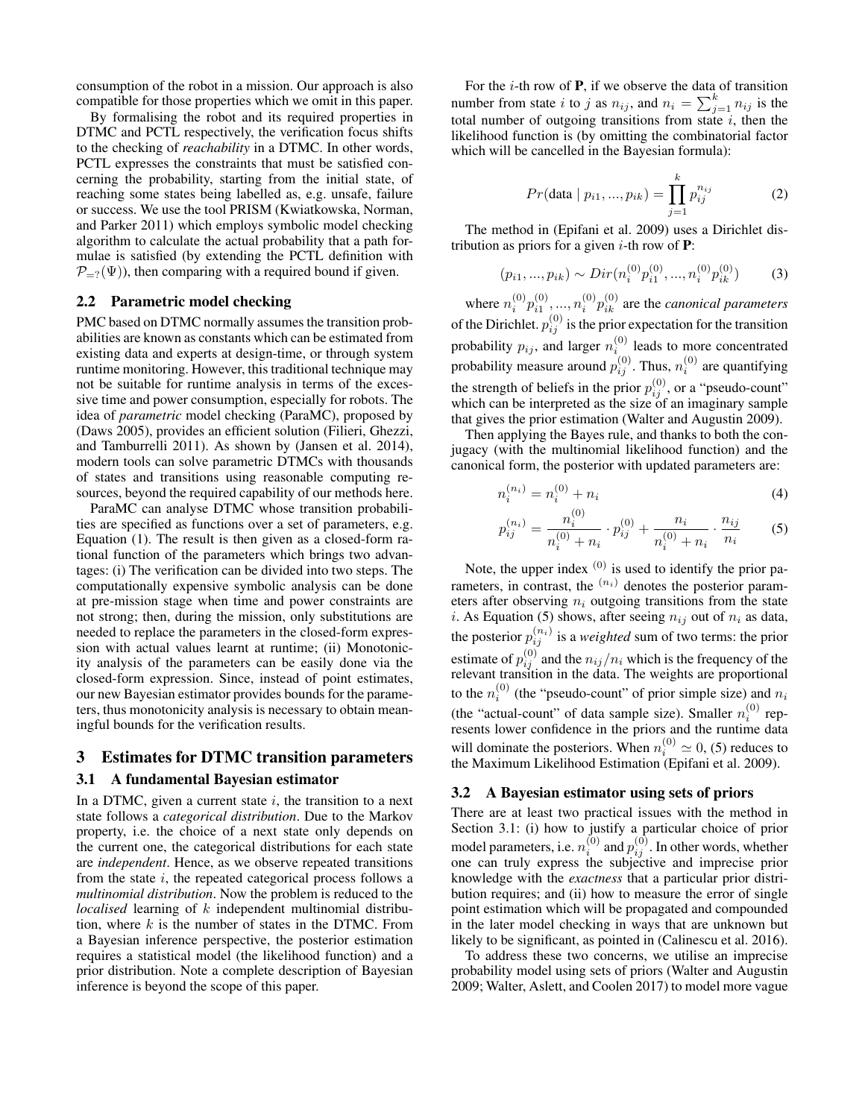consumption of the robot in a mission. Our approach is also compatible for those properties which we omit in this paper.

By formalising the robot and its required properties in DTMC and PCTL respectively, the verification focus shifts to the checking of *reachability* in a DTMC. In other words, PCTL expresses the constraints that must be satisfied concerning the probability, starting from the initial state, of reaching some states being labelled as, e.g. unsafe, failure or success. We use the tool PRISM (Kwiatkowska, Norman, and Parker 2011) which employs symbolic model checking algorithm to calculate the actual probability that a path formulae is satisfied (by extending the PCTL definition with  $\mathcal{P}_{=?}(\Psi)$ , then comparing with a required bound if given.

### 2.2 Parametric model checking

PMC based on DTMC normally assumes the transition probabilities are known as constants which can be estimated from existing data and experts at design-time, or through system runtime monitoring. However, this traditional technique may not be suitable for runtime analysis in terms of the excessive time and power consumption, especially for robots. The idea of *parametric* model checking (ParaMC), proposed by (Daws 2005), provides an efficient solution (Filieri, Ghezzi, and Tamburrelli 2011). As shown by (Jansen et al. 2014), modern tools can solve parametric DTMCs with thousands of states and transitions using reasonable computing resources, beyond the required capability of our methods here.

ParaMC can analyse DTMC whose transition probabilities are specified as functions over a set of parameters, e.g. Equation (1). The result is then given as a closed-form rational function of the parameters which brings two advantages: (i) The verification can be divided into two steps. The computationally expensive symbolic analysis can be done at pre-mission stage when time and power constraints are not strong; then, during the mission, only substitutions are needed to replace the parameters in the closed-form expression with actual values learnt at runtime; (ii) Monotonicity analysis of the parameters can be easily done via the closed-form expression. Since, instead of point estimates, our new Bayesian estimator provides bounds for the parameters, thus monotonicity analysis is necessary to obtain meaningful bounds for the verification results.

## 3 Estimates for DTMC transition parameters

## 3.1 A fundamental Bayesian estimator

In a DTMC, given a current state  $i$ , the transition to a next state follows a *categorical distribution*. Due to the Markov property, i.e. the choice of a next state only depends on the current one, the categorical distributions for each state are *independent*. Hence, as we observe repeated transitions from the state  $i$ , the repeated categorical process follows a *multinomial distribution*. Now the problem is reduced to the *localised* learning of k independent multinomial distribution, where  $k$  is the number of states in the DTMC. From a Bayesian inference perspective, the posterior estimation requires a statistical model (the likelihood function) and a prior distribution. Note a complete description of Bayesian inference is beyond the scope of this paper.

For the  $i$ -th row of  $P$ , if we observe the data of transition number from state *i* to *j* as  $n_{ij}$ , and  $n_i = \sum_{j=1}^{k} n_{ij}$  is the total number of outgoing transitions from state  $i$ , then the likelihood function is (by omitting the combinatorial factor which will be cancelled in the Bayesian formula):

$$
Pr(\text{data} \mid p_{i1}, ..., p_{ik}) = \prod_{j=1}^{k} p_{ij}^{n_{ij}} \tag{2}
$$

The method in (Epifani et al. 2009) uses a Dirichlet distribution as priors for a given *i*-th row of **P**:

$$
(p_{i1},...,p_{ik}) \sim Dir(n_i^{(0)}p_{i1}^{(0)},...,n_i^{(0)}p_{ik}^{(0)})
$$
 (3)

where  $n_i^{(0)}p_{i1}^{(0)},...,n_i^{(0)}p_{ik}^{(0)}$  are the *canonical parameters* of the Dirichlet.  $p_{ij}^{(0)}$  is the prior expectation for the transition probability  $p_{ij}$ , and larger  $n_i^{(0)}$  leads to more concentrated probability measure around  $p_{ij}^{(0)}$ . Thus,  $n_i^{(0)}$  are quantifying the strength of beliefs in the prior  $p_{ij}^{(0)}$ , or a "pseudo-count" which can be interpreted as the size of an imaginary sample that gives the prior estimation (Walter and Augustin 2009).

Then applying the Bayes rule, and thanks to both the conjugacy (with the multinomial likelihood function) and the canonical form, the posterior with updated parameters are:

$$
n_i^{(n_i)} = n_i^{(0)} + n_i \tag{4}
$$

$$
p_{ij}^{(n_i)} = \frac{n_i^{(0)}}{n_i^{(0)} + n_i} \cdot p_{ij}^{(0)} + \frac{n_i}{n_i^{(0)} + n_i} \cdot \frac{n_{ij}}{n_i} \tag{5}
$$

Note, the upper index  $(0)$  is used to identify the prior parameters, in contrast, the  $(n_i)$  denotes the posterior parameters after observing  $n_i$  outgoing transitions from the state i. As Equation (5) shows, after seeing  $n_{ij}$  out of  $n_i$  as data, the posterior  $p_{ij}^{(n_i)}$  is a *weighted* sum of two terms: the prior estimate of  $p_{ij}^{(0)}$  and the  $n_{ij}/n_i$  which is the frequency of the relevant transition in the data. The weights are proportional to the  $n_i^{(0)}$  (the "pseudo-count" of prior simple size) and  $n_i$ (the "actual-count" of data sample size). Smaller  $n_i^{(0)}$  represents lower confidence in the priors and the runtime data will dominate the posteriors. When  $n_i^{(0)} \simeq 0$ , (5) reduces to the Maximum Likelihood Estimation (Epifani et al. 2009).

### 3.2 A Bayesian estimator using sets of priors

There are at least two practical issues with the method in Section 3.1: (i) how to justify a particular choice of prior model parameters, i.e.  $n_i^{(0)}$  and  $p_{ij}^{(0)}$  . In other words, whether one can truly express the subjective and imprecise prior knowledge with the *exactness* that a particular prior distribution requires; and (ii) how to measure the error of single point estimation which will be propagated and compounded in the later model checking in ways that are unknown but likely to be significant, as pointed in (Calinescu et al. 2016).

To address these two concerns, we utilise an imprecise probability model using sets of priors (Walter and Augustin 2009; Walter, Aslett, and Coolen 2017) to model more vague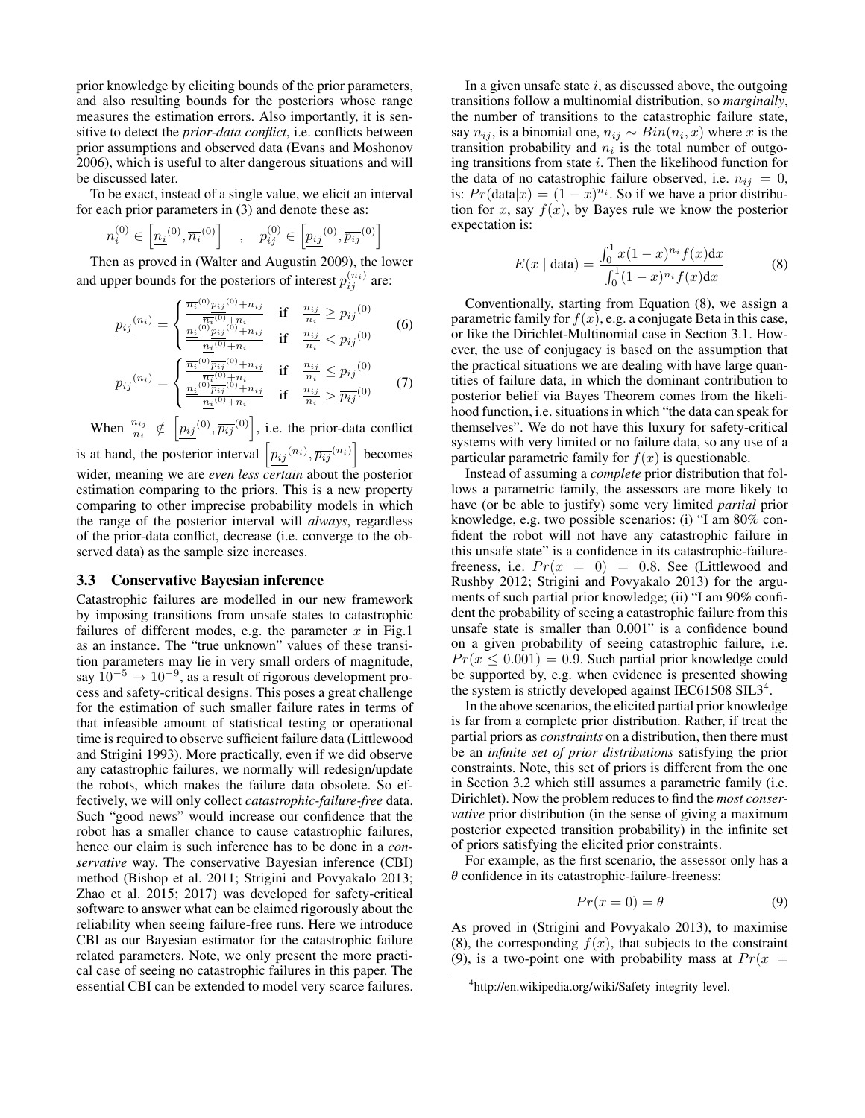prior knowledge by eliciting bounds of the prior parameters, and also resulting bounds for the posteriors whose range measures the estimation errors. Also importantly, it is sensitive to detect the *prior-data conflict*, i.e. conflicts between prior assumptions and observed data (Evans and Moshonov 2006), which is useful to alter dangerous situations and will be discussed later.

To be exact, instead of a single value, we elicit an interval for each prior parameters in (3) and denote these as:

$$
n_i^{(0)} \in \left[\underline{n_i}^{(0)}, \overline{n_i}^{(0)}\right] \quad , \quad p_{ij}^{(0)} \in \left[\underline{p_{ij}}^{(0)}, \overline{p_{ij}}^{(0)}\right]
$$

Then as proved in (Walter and Augustin 2009), the lower and upper bounds for the posteriors of interest  $p_{ij}^{(n_i)}$  are:

$$
\underline{p_{ij}}^{(n_i)} = \begin{cases} \frac{\overline{n_i^{(0)}} p_{ij}^{(0)} + n_{ij}}{\overline{n_i^{(0)}} + n_i} & \text{if } \frac{n_{ij}}{n_i} \ge p_{ij}^{(0)}\\ \frac{n_i^{(0)} p_{ij}^{(0)} + n_{ij}}{\overline{n_i^{(0)}} + n_i} & \text{if } \frac{n_{ij}}{n_i} < \underline{p_{ij}}^{(0)} \end{cases} \tag{6}
$$

$$
\overline{p_{ij}}^{(n_i)} = \begin{cases} \frac{\overline{n_i}^{(0)} \overline{p_{ij}}^{(0)} + n_{ij}}{\overline{n_i}^{(0)} + n_i} & \text{if } \frac{n_{ij}}{n_i} \le \overline{p_{ij}}^{(0)}\\ \frac{n_i^{(0)} \overline{p_{ij}}^{(0)} + n_{ij}}{\overline{n_i}^{(0)} + n_i} & \text{if } \frac{n_{ij}}{n_i} > \overline{p_{ij}}^{(0)} \end{cases} (7)
$$

When  $\frac{n_{ij}}{n_i} \notin \left[p_{ij}^{(0)}, \overline{p_{ij}}^{(0)}\right]$ , i.e. the prior-data conflict is at hand, the posterior interval  $\left[p_{ij}(n_i), \overline{p_{ij}}(n_i)\right]$  becomes wider, meaning we are *even less certain* about the posterior estimation comparing to the priors. This is a new property comparing to other imprecise probability models in which the range of the posterior interval will *always*, regardless of the prior-data conflict, decrease (i.e. converge to the observed data) as the sample size increases.

#### 3.3 Conservative Bayesian inference

Catastrophic failures are modelled in our new framework by imposing transitions from unsafe states to catastrophic failures of different modes, e.g. the parameter  $x$  in Fig.1 as an instance. The "true unknown" values of these transition parameters may lie in very small orders of magnitude, say  $10^{-5} \rightarrow 10^{-9}$ , as a result of rigorous development process and safety-critical designs. This poses a great challenge for the estimation of such smaller failure rates in terms of that infeasible amount of statistical testing or operational time is required to observe sufficient failure data (Littlewood and Strigini 1993). More practically, even if we did observe any catastrophic failures, we normally will redesign/update the robots, which makes the failure data obsolete. So effectively, we will only collect *catastrophic-failure-free* data. Such "good news" would increase our confidence that the robot has a smaller chance to cause catastrophic failures, hence our claim is such inference has to be done in a *conservative* way. The conservative Bayesian inference (CBI) method (Bishop et al. 2011; Strigini and Povyakalo 2013; Zhao et al. 2015; 2017) was developed for safety-critical software to answer what can be claimed rigorously about the reliability when seeing failure-free runs. Here we introduce CBI as our Bayesian estimator for the catastrophic failure related parameters. Note, we only present the more practical case of seeing no catastrophic failures in this paper. The essential CBI can be extended to model very scarce failures.

In a given unsafe state  $i$ , as discussed above, the outgoing transitions follow a multinomial distribution, so *marginally*, the number of transitions to the catastrophic failure state, say  $n_{ij}$ , is a binomial one,  $n_{ij} \sim Bin(n_i, x)$  where x is the transition probability and  $n_i$  is the total number of outgoing transitions from state  $i$ . Then the likelihood function for the data of no catastrophic failure observed, i.e.  $n_{ij} = 0$ , is:  $Pr(\text{data}|x) = (1 - x)^{n_i}$ . So if we have a prior distribution for x, say  $f(x)$ , by Bayes rule we know the posterior expectation is:

$$
E(x \mid \text{data}) = \frac{\int_0^1 x(1-x)^{n_i} f(x) \, \text{d}x}{\int_0^1 (1-x)^{n_i} f(x) \, \text{d}x} \tag{8}
$$

Conventionally, starting from Equation (8), we assign a parametric family for  $f(x)$ , e.g. a conjugate Beta in this case, or like the Dirichlet-Multinomial case in Section 3.1. However, the use of conjugacy is based on the assumption that the practical situations we are dealing with have large quantities of failure data, in which the dominant contribution to posterior belief via Bayes Theorem comes from the likelihood function, i.e. situations in which "the data can speak for themselves". We do not have this luxury for safety-critical systems with very limited or no failure data, so any use of a particular parametric family for  $f(x)$  is questionable.

Instead of assuming a *complete* prior distribution that follows a parametric family, the assessors are more likely to have (or be able to justify) some very limited *partial* prior knowledge, e.g. two possible scenarios: (i) "I am 80% confident the robot will not have any catastrophic failure in this unsafe state" is a confidence in its catastrophic-failurefreeness, i.e.  $Pr(x = 0) = 0.8$ . See (Littlewood and Rushby 2012; Strigini and Povyakalo 2013) for the arguments of such partial prior knowledge; (ii) "I am 90% confident the probability of seeing a catastrophic failure from this unsafe state is smaller than 0.001" is a confidence bound on a given probability of seeing catastrophic failure, i.e.  $Pr(x \le 0.001) = 0.9$ . Such partial prior knowledge could be supported by, e.g. when evidence is presented showing the system is strictly developed against IEC61508 SIL3<sup>4</sup>.

In the above scenarios, the elicited partial prior knowledge is far from a complete prior distribution. Rather, if treat the partial priors as *constraints* on a distribution, then there must be an *infinite set of prior distributions* satisfying the prior constraints. Note, this set of priors is different from the one in Section 3.2 which still assumes a parametric family (i.e. Dirichlet). Now the problem reduces to find the *most conservative* prior distribution (in the sense of giving a maximum posterior expected transition probability) in the infinite set of priors satisfying the elicited prior constraints.

For example, as the first scenario, the assessor only has a  $\theta$  confidence in its catastrophic-failure-freeness:

$$
Pr(x=0) = \theta \tag{9}
$$

As proved in (Strigini and Povyakalo 2013), to maximise (8), the corresponding  $f(x)$ , that subjects to the constraint (9), is a two-point one with probability mass at  $Pr(x =$ 

<sup>4</sup> http://en.wikipedia.org/wiki/Safety integrity level.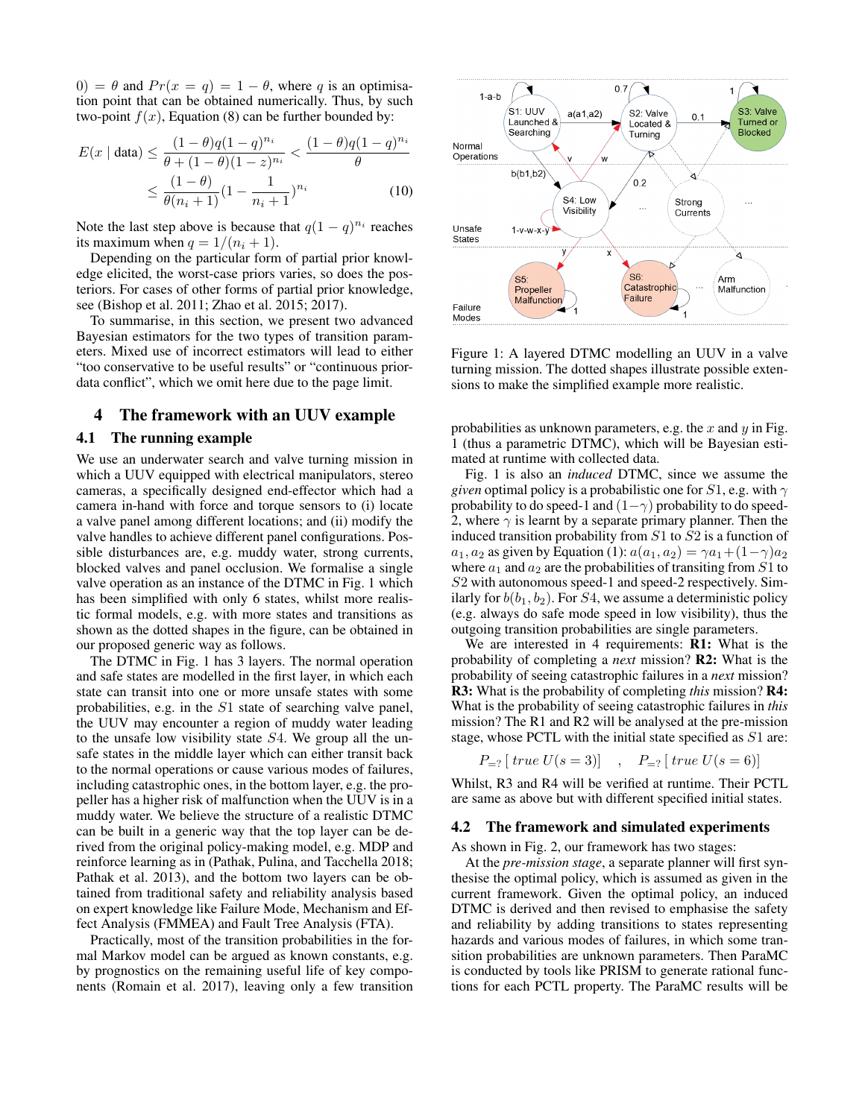0) =  $\theta$  and  $Pr(x = q) = 1 - \theta$ , where q is an optimisation point that can be obtained numerically. Thus, by such two-point  $f(x)$ , Equation (8) can be further bounded by:

$$
E(x \mid \text{data}) \le \frac{(1-\theta)q(1-q)^{n_i}}{\theta + (1-\theta)(1-z)^{n_i}} < \frac{(1-\theta)q(1-q)^{n_i}}{\theta} \le \frac{(1-\theta)}{\theta(n_i+1)}(1-\frac{1}{n_i+1})^{n_i} \tag{10}
$$

Note the last step above is because that  $q(1-q)^{n_i}$  reaches its maximum when  $q = 1/(n_i + 1)$ .

Depending on the particular form of partial prior knowledge elicited, the worst-case priors varies, so does the posteriors. For cases of other forms of partial prior knowledge, see (Bishop et al. 2011; Zhao et al. 2015; 2017).

To summarise, in this section, we present two advanced Bayesian estimators for the two types of transition parameters. Mixed use of incorrect estimators will lead to either "too conservative to be useful results" or "continuous priordata conflict", which we omit here due to the page limit.

## 4 The framework with an UUV example

## 4.1 The running example

We use an underwater search and valve turning mission in which a UUV equipped with electrical manipulators, stereo cameras, a specifically designed end-effector which had a camera in-hand with force and torque sensors to (i) locate a valve panel among different locations; and (ii) modify the valve handles to achieve different panel configurations. Possible disturbances are, e.g. muddy water, strong currents, blocked valves and panel occlusion. We formalise a single valve operation as an instance of the DTMC in Fig. 1 which has been simplified with only 6 states, whilst more realistic formal models, e.g. with more states and transitions as shown as the dotted shapes in the figure, can be obtained in our proposed generic way as follows.

The DTMC in Fig. 1 has 3 layers. The normal operation and safe states are modelled in the first layer, in which each state can transit into one or more unsafe states with some probabilities, e.g. in the S1 state of searching valve panel, the UUV may encounter a region of muddy water leading to the unsafe low visibility state S4. We group all the unsafe states in the middle layer which can either transit back to the normal operations or cause various modes of failures, including catastrophic ones, in the bottom layer, e.g. the propeller has a higher risk of malfunction when the UUV is in a muddy water. We believe the structure of a realistic DTMC can be built in a generic way that the top layer can be derived from the original policy-making model, e.g. MDP and reinforce learning as in (Pathak, Pulina, and Tacchella 2018; Pathak et al. 2013), and the bottom two layers can be obtained from traditional safety and reliability analysis based on expert knowledge like Failure Mode, Mechanism and Effect Analysis (FMMEA) and Fault Tree Analysis (FTA).

Practically, most of the transition probabilities in the formal Markov model can be argued as known constants, e.g. by prognostics on the remaining useful life of key components (Romain et al. 2017), leaving only a few transition



Figure 1: A layered DTMC modelling an UUV in a valve turning mission. The dotted shapes illustrate possible extensions to make the simplified example more realistic.

probabilities as unknown parameters, e.g. the  $x$  and  $y$  in Fig. 1 (thus a parametric DTMC), which will be Bayesian estimated at runtime with collected data.

Fig. 1 is also an *induced* DTMC, since we assume the *given* optimal policy is a probabilistic one for S1, e.g. with  $\gamma$ probability to do speed-1 and  $(1-\gamma)$  probability to do speed-2, where  $\gamma$  is learnt by a separate primary planner. Then the induced transition probability from S1 to S2 is a function of  $a_1, a_2$  as given by Equation (1):  $a(a_1, a_2) = \gamma a_1 + (1-\gamma)a_2$ where  $a_1$  and  $a_2$  are the probabilities of transiting from  $S1$  to S2 with autonomous speed-1 and speed-2 respectively. Similarly for  $b(b_1, b_2)$ . For S4, we assume a deterministic policy (e.g. always do safe mode speed in low visibility), thus the outgoing transition probabilities are single parameters.

We are interested in 4 requirements: R1: What is the probability of completing a *next* mission? R2: What is the probability of seeing catastrophic failures in a *next* mission? R3: What is the probability of completing *this* mission? R4: What is the probability of seeing catastrophic failures in *this* mission? The R1 and R2 will be analysed at the pre-mission stage, whose PCTL with the initial state specified as S1 are:

$$
P_{=?}
$$
 [*true U(s = 3)*] ,  $P_{=?}$  [*true U(s = 6)*]

Whilst, R3 and R4 will be verified at runtime. Their PCTL are same as above but with different specified initial states.

#### 4.2 The framework and simulated experiments

As shown in Fig. 2, our framework has two stages:

At the *pre-mission stage*, a separate planner will first synthesise the optimal policy, which is assumed as given in the current framework. Given the optimal policy, an induced DTMC is derived and then revised to emphasise the safety and reliability by adding transitions to states representing hazards and various modes of failures, in which some transition probabilities are unknown parameters. Then ParaMC is conducted by tools like PRISM to generate rational functions for each PCTL property. The ParaMC results will be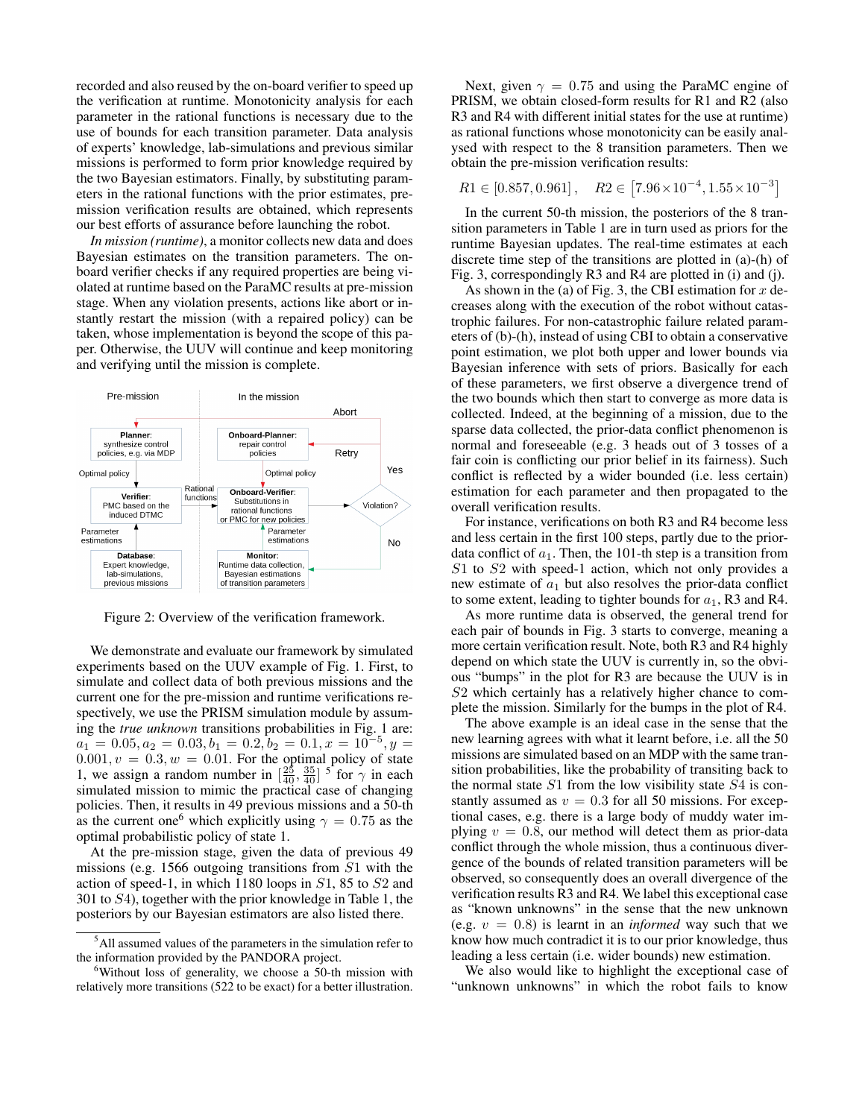recorded and also reused by the on-board verifier to speed up the verification at runtime. Monotonicity analysis for each parameter in the rational functions is necessary due to the use of bounds for each transition parameter. Data analysis of experts' knowledge, lab-simulations and previous similar missions is performed to form prior knowledge required by the two Bayesian estimators. Finally, by substituting parameters in the rational functions with the prior estimates, premission verification results are obtained, which represents our best efforts of assurance before launching the robot.

*In mission (runtime)*, a monitor collects new data and does Bayesian estimates on the transition parameters. The onboard verifier checks if any required properties are being violated at runtime based on the ParaMC results at pre-mission stage. When any violation presents, actions like abort or instantly restart the mission (with a repaired policy) can be taken, whose implementation is beyond the scope of this paper. Otherwise, the UUV will continue and keep monitoring and verifying until the mission is complete.



Figure 2: Overview of the verification framework.

We demonstrate and evaluate our framework by simulated experiments based on the UUV example of Fig. 1. First, to simulate and collect data of both previous missions and the current one for the pre-mission and runtime verifications respectively, we use the PRISM simulation module by assuming the *true unknown* transitions probabilities in Fig. 1 are:  $a_1 = 0.05, a_2 = 0.03, b_1 = 0.2, b_2 = 0.1, x = 10^{-5}, y = 10^{-5}$  $0.001, v = 0.3, w = 0.01$ . For the optimal policy of state 1, we assign a random number in  $\left[\frac{25}{40}, \frac{35}{40}\right]$  <sup>5</sup> for  $\gamma$  in each simulated mission to mimic the practical case of changing policies. Then, it results in 49 previous missions and a 50-th as the current one<sup>6</sup> which explicitly using  $\gamma = 0.75$  as the optimal probabilistic policy of state 1.

At the pre-mission stage, given the data of previous 49 missions (e.g. 1566 outgoing transitions from S1 with the action of speed-1, in which 1180 loops in S1, 85 to S2 and 301 to S4), together with the prior knowledge in Table 1, the posteriors by our Bayesian estimators are also listed there.

Next, given  $\gamma = 0.75$  and using the ParaMC engine of PRISM, we obtain closed-form results for R1 and R2 (also R3 and R4 with different initial states for the use at runtime) as rational functions whose monotonicity can be easily analysed with respect to the 8 transition parameters. Then we obtain the pre-mission verification results:

$$
R1 \in [0.857, 0.961], \quad R2 \in [7.96 \times 10^{-4}, 1.55 \times 10^{-3}]
$$

In the current 50-th mission, the posteriors of the 8 transition parameters in Table 1 are in turn used as priors for the runtime Bayesian updates. The real-time estimates at each discrete time step of the transitions are plotted in (a)-(h) of Fig. 3, correspondingly R3 and R4 are plotted in (i) and (j).

As shown in the (a) of Fig. 3, the CBI estimation for  $x$  decreases along with the execution of the robot without catastrophic failures. For non-catastrophic failure related parameters of (b)-(h), instead of using CBI to obtain a conservative point estimation, we plot both upper and lower bounds via Bayesian inference with sets of priors. Basically for each of these parameters, we first observe a divergence trend of the two bounds which then start to converge as more data is collected. Indeed, at the beginning of a mission, due to the sparse data collected, the prior-data conflict phenomenon is normal and foreseeable (e.g. 3 heads out of 3 tosses of a fair coin is conflicting our prior belief in its fairness). Such conflict is reflected by a wider bounded (i.e. less certain) estimation for each parameter and then propagated to the overall verification results.

For instance, verifications on both R3 and R4 become less and less certain in the first 100 steps, partly due to the priordata conflict of  $a_1$ . Then, the 101-th step is a transition from S1 to S2 with speed-1 action, which not only provides a new estimate of  $a_1$  but also resolves the prior-data conflict to some extent, leading to tighter bounds for  $a_1$ , R3 and R4.

As more runtime data is observed, the general trend for each pair of bounds in Fig. 3 starts to converge, meaning a more certain verification result. Note, both R3 and R4 highly depend on which state the UUV is currently in, so the obvious "bumps" in the plot for R3 are because the UUV is in S2 which certainly has a relatively higher chance to complete the mission. Similarly for the bumps in the plot of R4.

The above example is an ideal case in the sense that the new learning agrees with what it learnt before, i.e. all the 50 missions are simulated based on an MDP with the same transition probabilities, like the probability of transiting back to the normal state  $S1$  from the low visibility state  $S4$  is constantly assumed as  $v = 0.3$  for all 50 missions. For exceptional cases, e.g. there is a large body of muddy water implying  $v = 0.8$ , our method will detect them as prior-data conflict through the whole mission, thus a continuous divergence of the bounds of related transition parameters will be observed, so consequently does an overall divergence of the verification results R3 and R4. We label this exceptional case as "known unknowns" in the sense that the new unknown (e.g.  $v = 0.8$ ) is learnt in an *informed* way such that we know how much contradict it is to our prior knowledge, thus leading a less certain (i.e. wider bounds) new estimation.

We also would like to highlight the exceptional case of "unknown unknowns" in which the robot fails to know

<sup>5</sup>All assumed values of the parameters in the simulation refer to the information provided by the PANDORA project.

<sup>&</sup>lt;sup>6</sup>Without loss of generality, we choose a 50-th mission with relatively more transitions (522 to be exact) for a better illustration.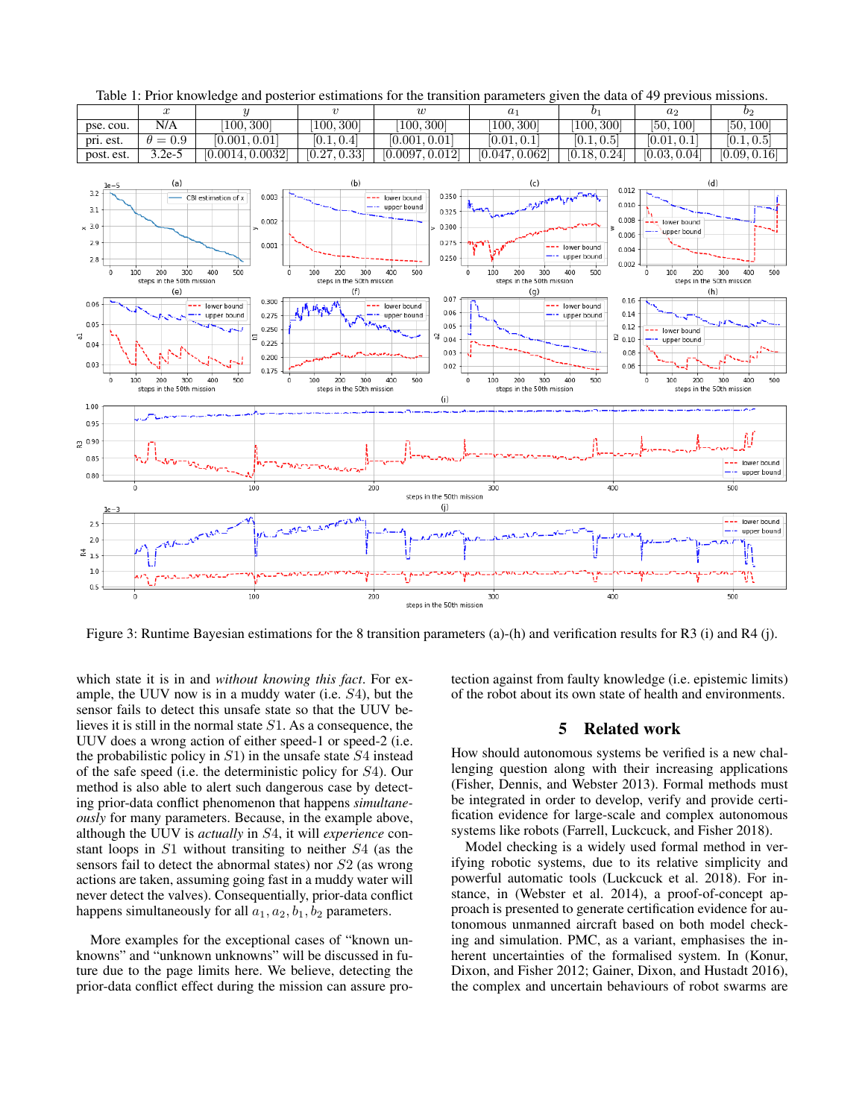Table 1: Prior knowledge and posterior estimations for the transition parameters given the data of 49 previous missions.



Figure 3: Runtime Bayesian estimations for the 8 transition parameters (a)-(h) and verification results for R3 (i) and R4 (j).

which state it is in and *without knowing this fact*. For example, the UUV now is in a muddy water (i.e. S4), but the sensor fails to detect this unsafe state so that the UUV believes it is still in the normal state  $S1$ . As a consequence, the UUV does a wrong action of either speed-1 or speed-2 (i.e. the probabilistic policy in  $S1$ ) in the unsafe state  $S4$  instead of the safe speed (i.e. the deterministic policy for S4). Our method is also able to alert such dangerous case by detecting prior-data conflict phenomenon that happens *simultaneously* for many parameters. Because, in the example above, although the UUV is *actually* in S4, it will *experience* constant loops in S1 without transiting to neither S4 (as the sensors fail to detect the abnormal states) nor S2 (as wrong actions are taken, assuming going fast in a muddy water will never detect the valves). Consequentially, prior-data conflict happens simultaneously for all  $a_1, a_2, b_1, b_2$  parameters.

More examples for the exceptional cases of "known unknowns" and "unknown unknowns" will be discussed in future due to the page limits here. We believe, detecting the prior-data conflict effect during the mission can assure protection against from faulty knowledge (i.e. epistemic limits) of the robot about its own state of health and environments.

## 5 Related work

How should autonomous systems be verified is a new challenging question along with their increasing applications (Fisher, Dennis, and Webster 2013). Formal methods must be integrated in order to develop, verify and provide certification evidence for large-scale and complex autonomous systems like robots (Farrell, Luckcuck, and Fisher 2018).

Model checking is a widely used formal method in verifying robotic systems, due to its relative simplicity and powerful automatic tools (Luckcuck et al. 2018). For instance, in (Webster et al. 2014), a proof-of-concept approach is presented to generate certification evidence for autonomous unmanned aircraft based on both model checking and simulation. PMC, as a variant, emphasises the inherent uncertainties of the formalised system. In (Konur, Dixon, and Fisher 2012; Gainer, Dixon, and Hustadt 2016), the complex and uncertain behaviours of robot swarms are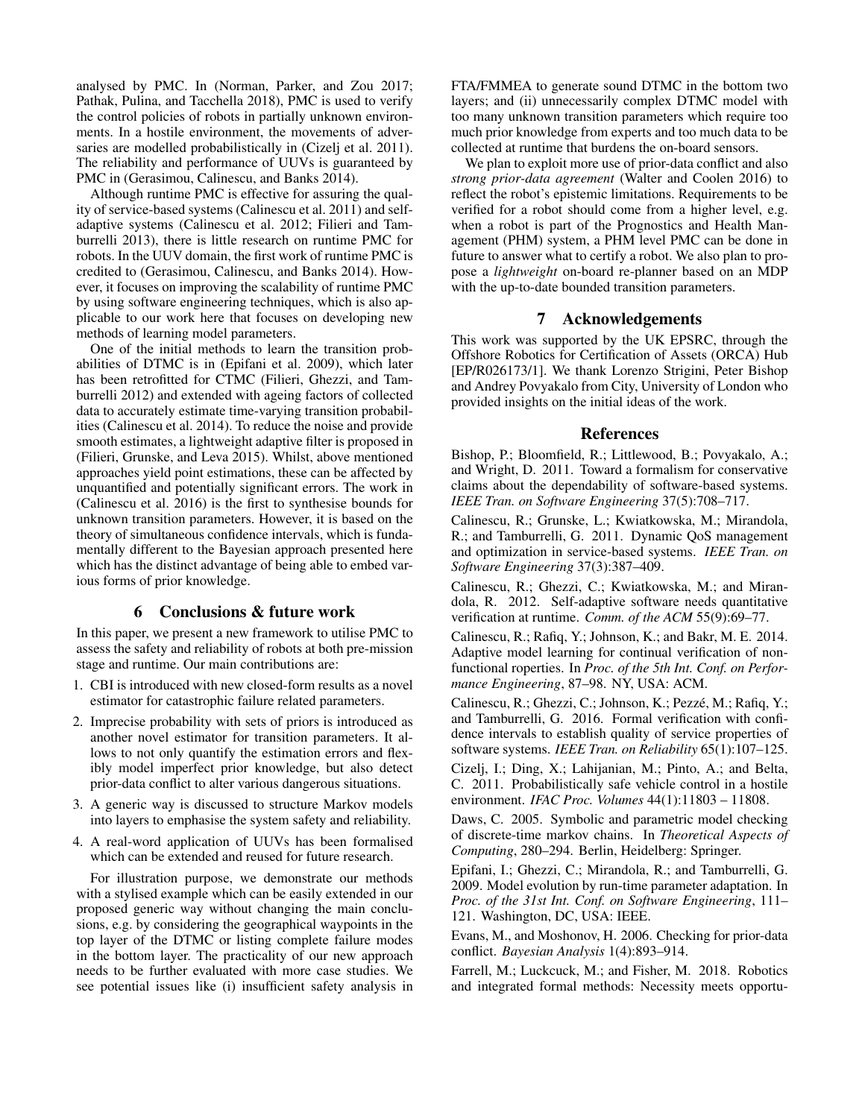analysed by PMC. In (Norman, Parker, and Zou 2017; Pathak, Pulina, and Tacchella 2018), PMC is used to verify the control policies of robots in partially unknown environments. In a hostile environment, the movements of adversaries are modelled probabilistically in (Cizelj et al. 2011). The reliability and performance of UUVs is guaranteed by PMC in (Gerasimou, Calinescu, and Banks 2014).

Although runtime PMC is effective for assuring the quality of service-based systems (Calinescu et al. 2011) and selfadaptive systems (Calinescu et al. 2012; Filieri and Tamburrelli 2013), there is little research on runtime PMC for robots. In the UUV domain, the first work of runtime PMC is credited to (Gerasimou, Calinescu, and Banks 2014). However, it focuses on improving the scalability of runtime PMC by using software engineering techniques, which is also applicable to our work here that focuses on developing new methods of learning model parameters.

One of the initial methods to learn the transition probabilities of DTMC is in (Epifani et al. 2009), which later has been retrofitted for CTMC (Filieri, Ghezzi, and Tamburrelli 2012) and extended with ageing factors of collected data to accurately estimate time-varying transition probabilities (Calinescu et al. 2014). To reduce the noise and provide smooth estimates, a lightweight adaptive filter is proposed in (Filieri, Grunske, and Leva 2015). Whilst, above mentioned approaches yield point estimations, these can be affected by unquantified and potentially significant errors. The work in (Calinescu et al. 2016) is the first to synthesise bounds for unknown transition parameters. However, it is based on the theory of simultaneous confidence intervals, which is fundamentally different to the Bayesian approach presented here which has the distinct advantage of being able to embed various forms of prior knowledge.

## 6 Conclusions & future work

In this paper, we present a new framework to utilise PMC to assess the safety and reliability of robots at both pre-mission stage and runtime. Our main contributions are:

- 1. CBI is introduced with new closed-form results as a novel estimator for catastrophic failure related parameters.
- 2. Imprecise probability with sets of priors is introduced as another novel estimator for transition parameters. It allows to not only quantify the estimation errors and flexibly model imperfect prior knowledge, but also detect prior-data conflict to alter various dangerous situations.
- 3. A generic way is discussed to structure Markov models into layers to emphasise the system safety and reliability.
- 4. A real-word application of UUVs has been formalised which can be extended and reused for future research.

For illustration purpose, we demonstrate our methods with a stylised example which can be easily extended in our proposed generic way without changing the main conclusions, e.g. by considering the geographical waypoints in the top layer of the DTMC or listing complete failure modes in the bottom layer. The practicality of our new approach needs to be further evaluated with more case studies. We see potential issues like (i) insufficient safety analysis in FTA/FMMEA to generate sound DTMC in the bottom two layers; and (ii) unnecessarily complex DTMC model with too many unknown transition parameters which require too much prior knowledge from experts and too much data to be collected at runtime that burdens the on-board sensors.

We plan to exploit more use of prior-data conflict and also *strong prior-data agreement* (Walter and Coolen 2016) to reflect the robot's epistemic limitations. Requirements to be verified for a robot should come from a higher level, e.g. when a robot is part of the Prognostics and Health Management (PHM) system, a PHM level PMC can be done in future to answer what to certify a robot. We also plan to propose a *lightweight* on-board re-planner based on an MDP with the up-to-date bounded transition parameters.

## 7 Acknowledgements

This work was supported by the UK EPSRC, through the Offshore Robotics for Certification of Assets (ORCA) Hub [EP/R026173/1]. We thank Lorenzo Strigini, Peter Bishop and Andrey Povyakalo from City, University of London who provided insights on the initial ideas of the work.

#### References

Bishop, P.; Bloomfield, R.; Littlewood, B.; Povyakalo, A.; and Wright, D. 2011. Toward a formalism for conservative claims about the dependability of software-based systems. *IEEE Tran. on Software Engineering* 37(5):708–717.

Calinescu, R.; Grunske, L.; Kwiatkowska, M.; Mirandola, R.; and Tamburrelli, G. 2011. Dynamic QoS management and optimization in service-based systems. *IEEE Tran. on Software Engineering* 37(3):387–409.

Calinescu, R.; Ghezzi, C.; Kwiatkowska, M.; and Mirandola, R. 2012. Self-adaptive software needs quantitative verification at runtime. *Comm. of the ACM* 55(9):69–77.

Calinescu, R.; Rafiq, Y.; Johnson, K.; and Bakr, M. E. 2014. Adaptive model learning for continual verification of nonfunctional roperties. In *Proc. of the 5th Int. Conf. on Performance Engineering*, 87–98. NY, USA: ACM.

Calinescu, R.; Ghezzi, C.; Johnson, K.; Pezze, M.; Rafiq, Y.; ´ and Tamburrelli, G. 2016. Formal verification with confidence intervals to establish quality of service properties of software systems. *IEEE Tran. on Reliability* 65(1):107–125.

Cizelj, I.; Ding, X.; Lahijanian, M.; Pinto, A.; and Belta, C. 2011. Probabilistically safe vehicle control in a hostile environment. *IFAC Proc. Volumes* 44(1):11803 – 11808.

Daws, C. 2005. Symbolic and parametric model checking of discrete-time markov chains. In *Theoretical Aspects of Computing*, 280–294. Berlin, Heidelberg: Springer.

Epifani, I.; Ghezzi, C.; Mirandola, R.; and Tamburrelli, G. 2009. Model evolution by run-time parameter adaptation. In *Proc. of the 31st Int. Conf. on Software Engineering*, 111– 121. Washington, DC, USA: IEEE.

Evans, M., and Moshonov, H. 2006. Checking for prior-data conflict. *Bayesian Analysis* 1(4):893–914.

Farrell, M.; Luckcuck, M.; and Fisher, M. 2018. Robotics and integrated formal methods: Necessity meets opportu